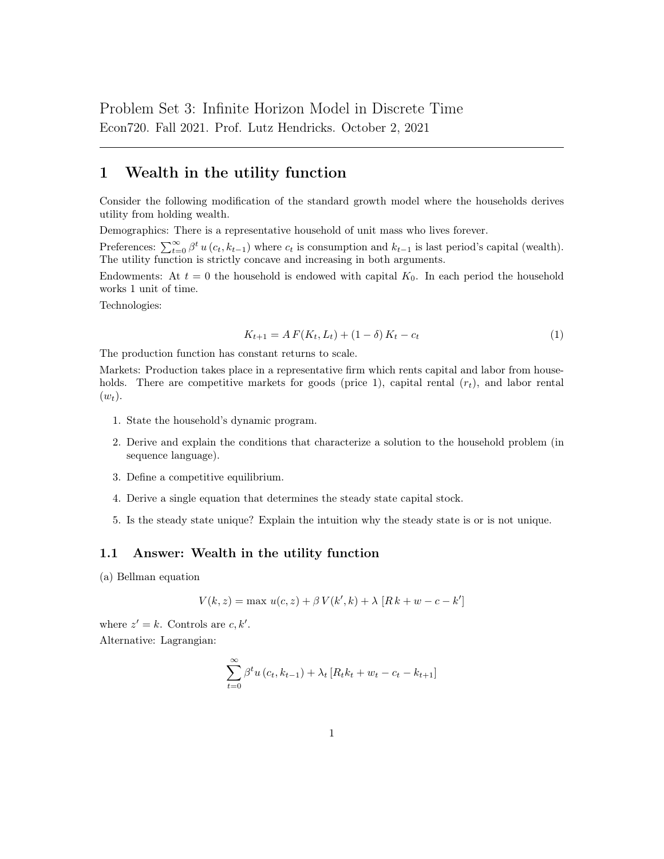# 1 Wealth in the utility function

Consider the following modification of the standard growth model where the households derives utility from holding wealth.

Demographics: There is a representative household of unit mass who lives forever.

Preferences:  $\sum_{t=0}^{\infty} \beta^t u(c_t, k_{t-1})$  where  $c_t$  is consumption and  $k_{t-1}$  is last period's capital (wealth). The utility function is strictly concave and increasing in both arguments.

Endowments: At  $t = 0$  the household is endowed with capital  $K_0$ . In each period the household works 1 unit of time.

Technologies:

$$
K_{t+1} = AF(K_t, L_t) + (1 - \delta) K_t - c_t
$$
\n(1)

The production function has constant returns to scale.

Markets: Production takes place in a representative firm which rents capital and labor from households. There are competitive markets for goods (price 1), capital rental  $(r_t)$ , and labor rental  $(w_t)$ .

- 1. State the household's dynamic program.
- 2. Derive and explain the conditions that characterize a solution to the household problem (in sequence language).
- 3. Define a competitive equilibrium.
- 4. Derive a single equation that determines the steady state capital stock.
- 5. Is the steady state unique? Explain the intuition why the steady state is or is not unique.

#### 1.1 Answer: Wealth in the utility function

(a) Bellman equation

$$
V(k, z) = \max u(c, z) + \beta V(k', k) + \lambda [R k + w - c - k']
$$

where  $z' = k$ . Controls are  $c, k'$ . Alternative: Lagrangian:

$$
\sum_{t=0}^{\infty} \beta^t u(c_t, k_{t-1}) + \lambda_t [R_t k_t + w_t - c_t - k_{t+1}]
$$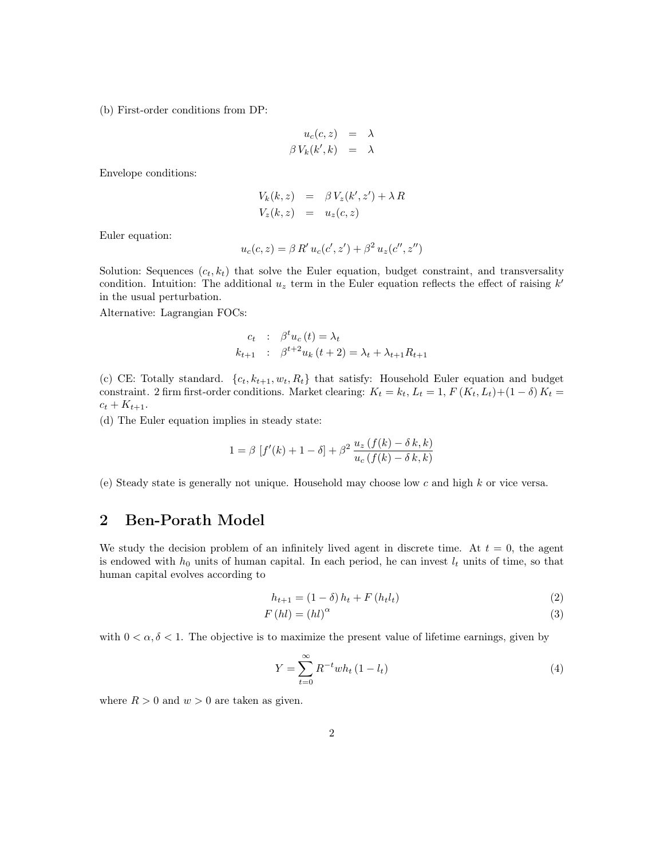(b) First-order conditions from DP:

$$
u_c(c, z) = \lambda
$$
  

$$
\beta V_k(k', k) = \lambda
$$

Envelope conditions:

$$
V_k(k, z) = \beta V_z(k', z') + \lambda R
$$
  

$$
V_z(k, z) = u_z(c, z)
$$

Euler equation:

$$
u_c(c, z) = \beta R' u_c(c', z') + \beta^2 u_z(c'', z'')
$$

Solution: Sequences  $(c_t, k_t)$  that solve the Euler equation, budget constraint, and transversality condition. Intuition: The additional  $u<sub>z</sub>$  term in the Euler equation reflects the effect of raising  $k'$ in the usual perturbation.

Alternative: Lagrangian FOCs:

$$
c_t : \beta^t u_c(t) = \lambda_t
$$
  

$$
k_{t+1} : \beta^{t+2} u_k(t+2) = \lambda_t + \lambda_{t+1} R_{t+1}
$$

(c) CE: Totally standard.  $\{c_t, k_{t+1}, w_t, R_t\}$  that satisfy: Household Euler equation and budget constraint. 2 firm first-order conditions. Market clearing:  $K_t = k_t$ ,  $L_t = 1$ ,  $F(K_t, L_t) + (1 - \delta) K_t =$  $c_t + K_{t+1}.$ 

(d) The Euler equation implies in steady state:

$$
1 = \beta \left[ f'(k) + 1 - \delta \right] + \beta^2 \frac{u_z \left( f(k) - \delta k, k \right)}{u_c \left( f(k) - \delta k, k \right)}
$$

(e) Steady state is generally not unique. Household may choose low c and high k or vice versa.

## 2 Ben-Porath Model

We study the decision problem of an infinitely lived agent in discrete time. At  $t = 0$ , the agent is endowed with  $h_0$  units of human capital. In each period, he can invest  $l_t$  units of time, so that human capital evolves according to

$$
h_{t+1} = (1 - \delta) h_t + F(h_t l_t)
$$
\n(2)

$$
F\left(hl\right) = \left(hl\right)^{\alpha} \tag{3}
$$

with  $0 < \alpha, \delta < 1$ . The objective is to maximize the present value of lifetime earnings, given by

$$
Y = \sum_{t=0}^{\infty} R^{-t} w h_t (1 - l_t)
$$
 (4)

where  $R > 0$  and  $w > 0$  are taken as given.